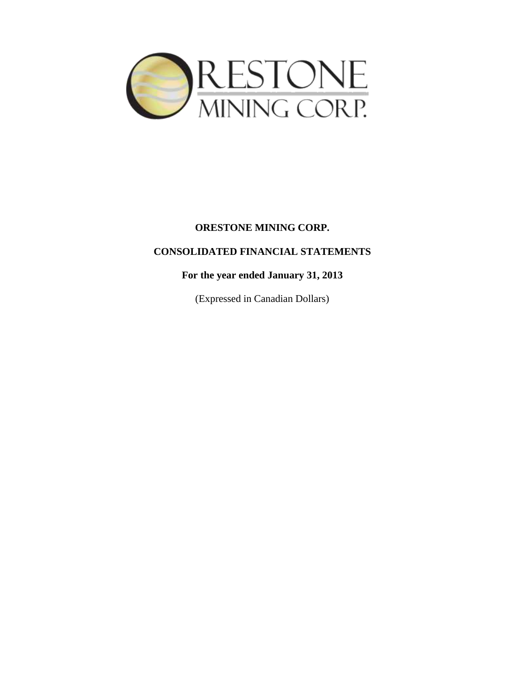

# **CONSOLIDATED FINANCIAL STATEMENTS**

# **For the year ended January 31, 2013**

(Expressed in Canadian Dollars)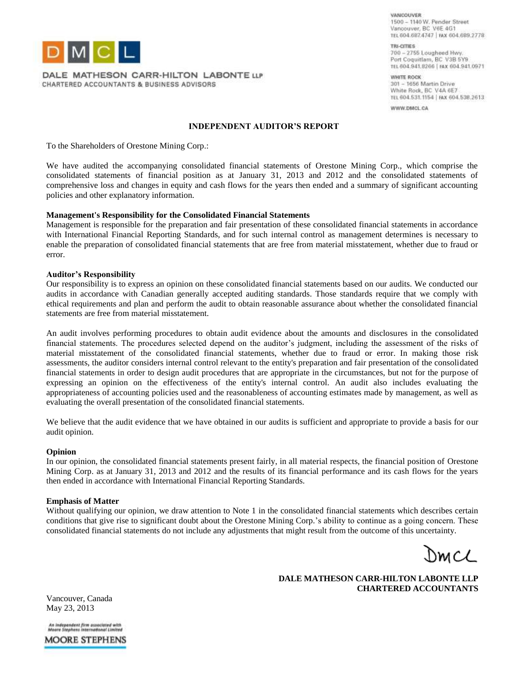

DALE MATHESON CARR-HILTON LABONTE LLP CHARTERED ACCOUNTANTS & BUSINESS ADVISORS

VANCOUVER 1500 - 1140 W. Pender Street Vancouver, BC V6E 4G1 TEL 604.687.4747 | FAX 604.689.2778

TRI-CITIES 700 - 2755 Lougheed Hwy Port Coquitlam, BC V3B 5Y9 TEL 604.941.8266 | FAX 604.941.0971

**WHITE ROCK** 301 - 1656 Martin Drive White Rock, BC V4A 6E7 TEL 604.531.1154 | FAX 604.538.2613

WWW.DMCL.CA

#### **INDEPENDENT AUDITOR'S REPORT**

To the Shareholders of Orestone Mining Corp.:

We have audited the accompanying consolidated financial statements of Orestone Mining Corp., which comprise the consolidated statements of financial position as at January 31, 2013 and 2012 and the consolidated statements of comprehensive loss and changes in equity and cash flows for the years then ended and a summary of significant accounting policies and other explanatory information.

#### **Management's Responsibility for the Consolidated Financial Statements**

Management is responsible for the preparation and fair presentation of these consolidated financial statements in accordance with International Financial Reporting Standards, and for such internal control as management determines is necessary to enable the preparation of consolidated financial statements that are free from material misstatement, whether due to fraud or error.

#### **Auditor's Responsibility**

Our responsibility is to express an opinion on these consolidated financial statements based on our audits. We conducted our audits in accordance with Canadian generally accepted auditing standards. Those standards require that we comply with ethical requirements and plan and perform the audit to obtain reasonable assurance about whether the consolidated financial statements are free from material misstatement.

An audit involves performing procedures to obtain audit evidence about the amounts and disclosures in the consolidated financial statements. The procedures selected depend on the auditor's judgment, including the assessment of the risks of material misstatement of the consolidated financial statements, whether due to fraud or error. In making those risk assessments, the auditor considers internal control relevant to the entity's preparation and fair presentation of the consolidated financial statements in order to design audit procedures that are appropriate in the circumstances, but not for the purpose of expressing an opinion on the effectiveness of the entity's internal control. An audit also includes evaluating the appropriateness of accounting policies used and the reasonableness of accounting estimates made by management, as well as evaluating the overall presentation of the consolidated financial statements.

We believe that the audit evidence that we have obtained in our audits is sufficient and appropriate to provide a basis for our audit opinion.

#### **Opinion**

In our opinion, the consolidated financial statements present fairly, in all material respects, the financial position of Orestone Mining Corp. as at January 31, 2013 and 2012 and the results of its financial performance and its cash flows for the years then ended in accordance with International Financial Reporting Standards.

## **Emphasis of Matter**

Without qualifying our opinion, we draw attention to Note 1 in the consolidated financial statements which describes certain conditions that give rise to significant doubt about the Orestone Mining Corp.'s ability to continue as a going concern. These consolidated financial statements do not include any adjustments that might result from the outcome of this uncertainty.

Dmcl

**DALE MATHESON CARR-HILTON LABONTE LLP CHARTERED ACCOUNTANTS**

Vancouver, Canada May 23, 2013

An independent firm associated with<br>Moore Stephens international Limited **MOORE STEPHENS**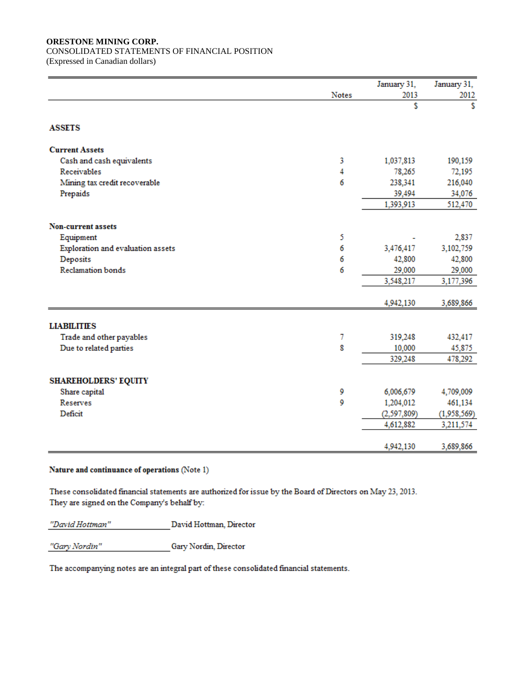CONSOLIDATED STATEMENTS OF FINANCIAL POSITION

(Expressed in Canadian dollars)

|                                   |       | January 31,   | January 31, |
|-----------------------------------|-------|---------------|-------------|
|                                   | Notes | 2013          | 2012        |
|                                   |       | \$            | S           |
| <b>ASSETS</b>                     |       |               |             |
| <b>Current Assets</b>             |       |               |             |
| Cash and cash equivalents         | 3     | 1,037,813     | 190,159     |
| Receivables                       | 4     | 78,265        | 72,195      |
| Mining tax credit recoverable     | 6     | 238,341       | 216,040     |
| Prepaids                          |       | 39,494        | 34,076      |
|                                   |       | 1,393,913     | 512,470     |
| <b>Non-current assets</b>         |       |               |             |
| Equipment                         | 5     |               | 2,837       |
| Exploration and evaluation assets | 6     | 3,476,417     | 3,102,759   |
| Deposits                          | 6     | 42,800        | 42,800      |
| Reclamation bonds                 | 6     | 29,000        | 29,000      |
|                                   |       | 3,548,217     | 3,177,396   |
|                                   |       |               |             |
|                                   |       | 4,942,130     | 3,689,866   |
| <b>LIABILITIES</b>                |       |               |             |
| Trade and other payables          | 7     | 319,248       | 432,417     |
| Due to related parties            | 8     | 10,000        | 45,875      |
|                                   |       | 329,248       | 478,292     |
| <b>SHAREHOLDERS' EQUITY</b>       |       |               |             |
| Share capital                     | 9     | 6,006,679     | 4,709,009   |
| <b>Reserves</b>                   | 9     | 1,204,012     | 461,134     |
| Deficit                           |       | (2, 597, 809) | (1,958,569) |
|                                   |       | 4,612,882     | 3,211,574   |
|                                   |       |               |             |
|                                   |       | 4,942,130     | 3,689,866   |

## Nature and continuance of operations (Note 1)

These consolidated financial statements are authorized for issue by the Board of Directors on May 23, 2013. They are signed on the Company's behalf by:

"David Hottman" David Hottman, Director

"Gary Nordin" Gary Nordin, Director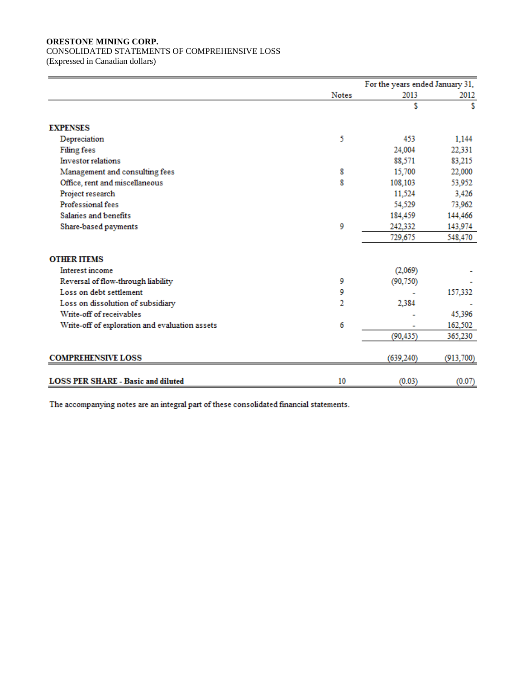## CONSOLIDATED STATEMENTS OF COMPREHENSIVE LOSS

(Expressed in Canadian dollars)

|                                                |              | For the years ended January 31, |           |
|------------------------------------------------|--------------|---------------------------------|-----------|
|                                                | <b>Notes</b> | 2013                            | 2012      |
|                                                |              | s                               | s         |
| <b>EXPENSES</b>                                |              |                                 |           |
| Depreciation                                   | 5            | 453                             | 1,144     |
| <b>Filing fees</b>                             |              | 24,004                          | 22,331    |
| <b>Investor relations</b>                      |              | 88,571                          | 83,215    |
| Management and consulting fees                 | 8            | 15,700                          | 22,000    |
| Office, rent and miscellaneous                 | 8            | 108,103                         | 53,952    |
| Project research                               |              | 11,524                          | 3,426     |
| Professional fees                              |              | 54,529                          | 73,962    |
| Salaries and benefits                          |              | 184,459                         | 144,466   |
| Share-based payments                           | 9            | 242,332                         | 143,974   |
|                                                |              | 729,675                         | 548,470   |
| <b>OTHER ITEMS</b>                             |              |                                 |           |
| Interest income                                |              | (2,069)                         |           |
| Reversal of flow-through liability             | 9            | (90, 750)                       |           |
| Loss on debt settlement                        | 9            |                                 | 157,332   |
| Loss on dissolution of subsidiary              | 2            | 2,384                           |           |
| Write-off of receivables                       |              |                                 | 45,396    |
| Write-off of exploration and evaluation assets | 6            |                                 | 162,502   |
|                                                |              | (90, 435)                       | 365,230   |
| <b>COMPREHENSIVE LOSS</b>                      |              | (639, 240)                      | (913,700) |
| <b>LOSS PER SHARE - Basic and diluted</b>      | 10           | (0.03)                          | (0.07)    |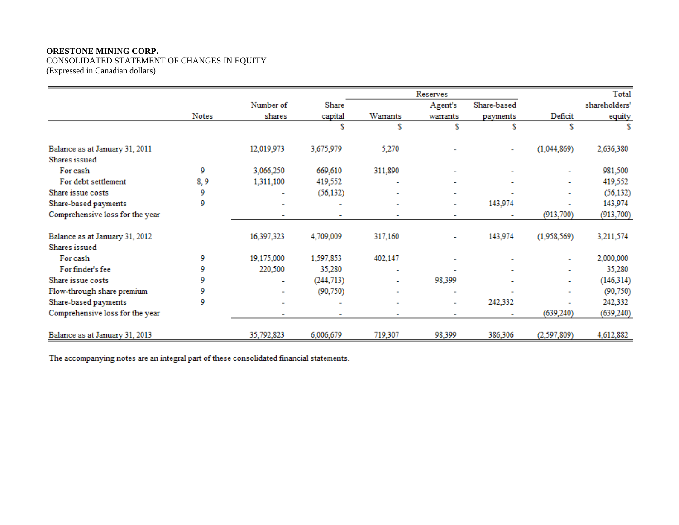CONSOLIDATED STATEMENT OF CHANGES IN EQUITY (Expressed in Canadian dollars)

|                                 |       |                          |            |          | Reserves |             |                          | Total         |
|---------------------------------|-------|--------------------------|------------|----------|----------|-------------|--------------------------|---------------|
|                                 |       | Number of                | Share      |          | Agent's  | Share-based |                          | shareholders' |
|                                 | Notes | shares                   | capital    | Warrants | warrants | payments    | Deficit                  | equity        |
|                                 |       |                          |            |          |          |             |                          |               |
| Balance as at January 31, 2011  |       | 12,019,973               | 3,675,979  | 5,270    |          |             | (1,044,869)              | 2,636,380     |
| Shares issued                   |       |                          |            |          |          |             |                          |               |
| For cash                        | 9     | 3,066,250                | 669,610    | 311,890  |          |             | $\overline{\phantom{a}}$ | 981,500       |
| For debt settlement             | 8,9   | 1,311,100                | 419,552    |          |          |             | $\overline{\phantom{a}}$ | 419,552       |
| Share issue costs               | 9     |                          | (56, 132)  |          | ٠        |             | ۰                        | (56, 132)     |
| Share-based payments            | 9     | $\overline{\phantom{0}}$ |            | ٠        | ٠        | 143,974     |                          | 143,974       |
| Comprehensive loss for the year |       |                          |            |          |          |             | (913,700)                | (913,700)     |
| Balance as at January 31, 2012  |       | 16,397,323               | 4,709,009  | 317,160  |          | 143,974     | (1,958,569)              | 3,211,574     |
| Shares issued                   |       |                          |            |          |          |             |                          |               |
| For cash                        | 9     | 19,175,000               | 1,597,853  | 402,147  |          |             | ٠                        | 2,000,000     |
| For finder's fee                | 9     | 220,500                  | 35,280     |          |          |             |                          | 35,280        |
| Share issue costs               | 9     |                          | (244, 713) | ۰        | 98,399   |             | ٠                        | (146, 314)    |
| Flow-through share premium      | 9     |                          | (90, 750)  |          |          |             |                          | (90, 750)     |
| Share-based payments            | 9     |                          |            |          | ۰        | 242,332     |                          | 242,332       |
| Comprehensive loss for the year |       | ٠                        | ۰          | ۰        | ۰        |             | (639, 240)               | (639, 240)    |
| Balance as at January 31, 2013  |       | 35,792,823               | 6,006,679  | 719,307  | 98,399   | 386,306     | (2, 597, 809)            | 4,612,882     |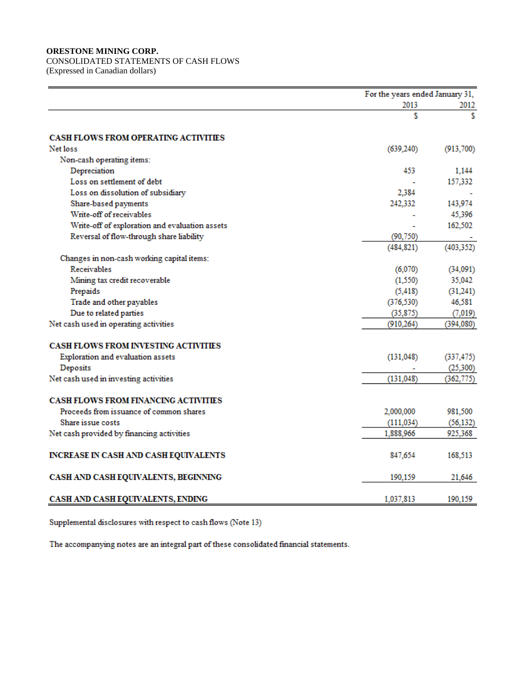# CONSOLIDATED STATEMENTS OF CASH FLOWS

(Expressed in Canadian dollars)

|                                                |            | For the years ended January 31, |  |  |
|------------------------------------------------|------------|---------------------------------|--|--|
|                                                | 2013       | 2012                            |  |  |
|                                                | Ŝ          |                                 |  |  |
| <b>CASH FLOWS FROM OPERATING ACTIVITIES</b>    |            |                                 |  |  |
| Net loss                                       | (639, 240) | (913,700)                       |  |  |
| Non-cash operating items:                      |            |                                 |  |  |
| Depreciation                                   | 453        | 1,144                           |  |  |
| Loss on settlement of debt                     |            | 157,332                         |  |  |
| Loss on dissolution of subsidiary              | 2,384      |                                 |  |  |
| Share-based payments                           | 242,332    | 143,974                         |  |  |
| Write-off of receivables                       |            | 45,396                          |  |  |
| Write-off of exploration and evaluation assets |            | 162,502                         |  |  |
| Reversal of flow-through share liability       | (90, 750)  |                                 |  |  |
|                                                | (484, 821) | (403, 352)                      |  |  |
| Changes in non-cash working capital items:     |            |                                 |  |  |
| Receivables                                    | (6,070)    | (34,091)                        |  |  |
| Mining tax credit recoverable                  | (1, 550)   | 35,042                          |  |  |
| Prepaids                                       | (5, 418)   | (31,241)                        |  |  |
| Trade and other payables                       | (376, 530) | 46,581                          |  |  |
| Due to related parties                         | (35, 875)  | (7,019)                         |  |  |
| Net cash used in operating activities          | (910, 264) | (394,080)                       |  |  |
| <b>CASH FLOWS FROM INVESTING ACTIVITIES</b>    |            |                                 |  |  |
| Exploration and evaluation assets              | (131, 048) | (337, 475)                      |  |  |
| Deposits                                       |            | (25, 300)                       |  |  |
| Net cash used in investing activities          | (131, 048) | (362, 775)                      |  |  |
| <b>CASH FLOWS FROM FINANCING ACTIVITIES</b>    |            |                                 |  |  |
| Proceeds from issuance of common shares        | 2,000,000  | 981,500                         |  |  |
| Share issue costs                              | (111, 034) | (56, 132)                       |  |  |
| Net cash provided by financing activities      | 1,888,966  | 925,368                         |  |  |
| INCREASE IN CASH AND CASH EQUIVALENTS          | 847,654    | 168,513                         |  |  |
| CASH AND CASH EQUIVALENTS, BEGINNING           | 190,159    | 21,646                          |  |  |
| CASH AND CASH EQUIVALENTS, ENDING              | 1,037,813  | 190,159                         |  |  |

Supplemental disclosures with respect to cash flows (Note 13)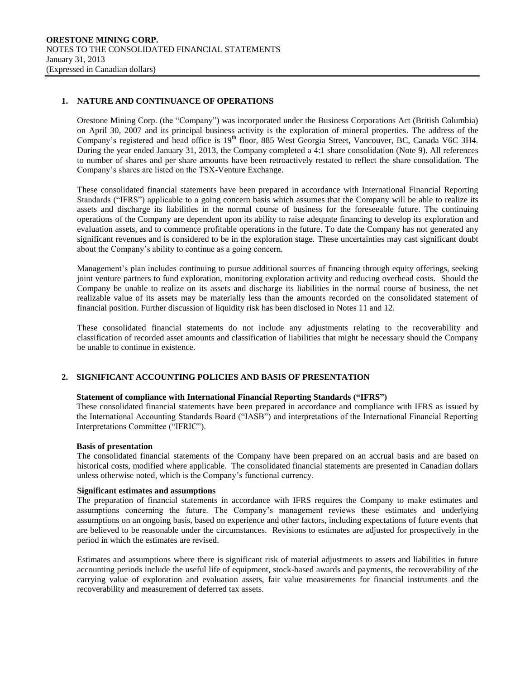## **1. NATURE AND CONTINUANCE OF OPERATIONS**

Orestone Mining Corp. (the "Company") was incorporated under the Business Corporations Act (British Columbia) on April 30, 2007 and its principal business activity is the exploration of mineral properties. The address of the Company's registered and head office is 19<sup>th</sup> floor, 885 West Georgia Street, Vancouver, BC, Canada V6C 3H4. During the year ended January 31, 2013, the Company completed a 4:1 share consolidation (Note 9). All references to number of shares and per share amounts have been retroactively restated to reflect the share consolidation. The Company's shares are listed on the TSX-Venture Exchange.

These consolidated financial statements have been prepared in accordance with International Financial Reporting Standards ("IFRS") applicable to a going concern basis which assumes that the Company will be able to realize its assets and discharge its liabilities in the normal course of business for the foreseeable future. The continuing operations of the Company are dependent upon its ability to raise adequate financing to develop its exploration and evaluation assets, and to commence profitable operations in the future. To date the Company has not generated any significant revenues and is considered to be in the exploration stage. These uncertainties may cast significant doubt about the Company's ability to continue as a going concern.

Management's plan includes continuing to pursue additional sources of financing through equity offerings, seeking joint venture partners to fund exploration, monitoring exploration activity and reducing overhead costs. Should the Company be unable to realize on its assets and discharge its liabilities in the normal course of business, the net realizable value of its assets may be materially less than the amounts recorded on the consolidated statement of financial position. Further discussion of liquidity risk has been disclosed in Notes 11 and 12.

These consolidated financial statements do not include any adjustments relating to the recoverability and classification of recorded asset amounts and classification of liabilities that might be necessary should the Company be unable to continue in existence.

## **2. SIGNIFICANT ACCOUNTING POLICIES AND BASIS OF PRESENTATION**

## **Statement of compliance with International Financial Reporting Standards ("IFRS")**

These consolidated financial statements have been prepared in accordance and compliance with IFRS as issued by the International Accounting Standards Board ("IASB") and interpretations of the International Financial Reporting Interpretations Committee ("IFRIC").

## **Basis of presentation**

The consolidated financial statements of the Company have been prepared on an accrual basis and are based on historical costs, modified where applicable. The consolidated financial statements are presented in Canadian dollars unless otherwise noted, which is the Company's functional currency.

## **Significant estimates and assumptions**

The preparation of financial statements in accordance with IFRS requires the Company to make estimates and assumptions concerning the future. The Company's management reviews these estimates and underlying assumptions on an ongoing basis, based on experience and other factors, including expectations of future events that are believed to be reasonable under the circumstances. Revisions to estimates are adjusted for prospectively in the period in which the estimates are revised.

Estimates and assumptions where there is significant risk of material adjustments to assets and liabilities in future accounting periods include the useful life of equipment, stock-based awards and payments, the recoverability of the carrying value of exploration and evaluation assets, fair value measurements for financial instruments and the recoverability and measurement of deferred tax assets.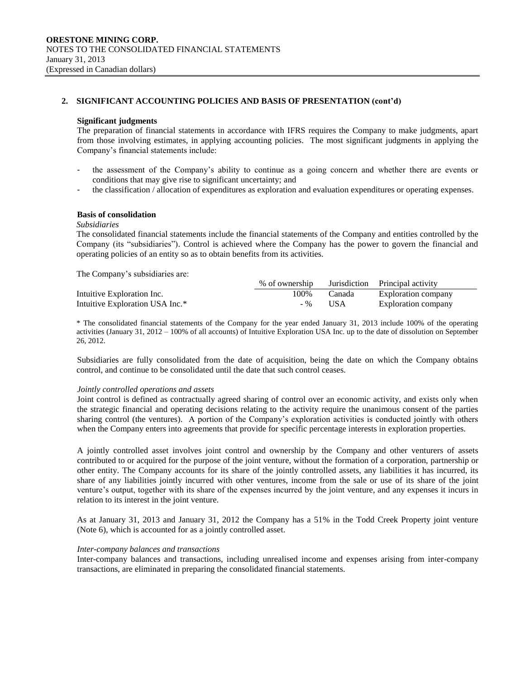## **Significant judgments**

The preparation of financial statements in accordance with IFRS requires the Company to make judgments, apart from those involving estimates, in applying accounting policies. The most significant judgments in applying the Company's financial statements include:

- the assessment of the Company's ability to continue as a going concern and whether there are events or conditions that may give rise to significant uncertainty; and
- the classification / allocation of expenditures as exploration and evaluation expenditures or operating expenses.

#### **Basis of consolidation**

#### *Subsidiaries*

The consolidated financial statements include the financial statements of the Company and entities controlled by the Company (its "subsidiaries"). Control is achieved where the Company has the power to govern the financial and operating policies of an entity so as to obtain benefits from its activities.

The Company's subsidiaries are:

|                                 | % of ownership |        | Jurisdiction Principal activity |
|---------------------------------|----------------|--------|---------------------------------|
| Intuitive Exploration Inc.      | 100%           | Canada | Exploration company             |
| Intuitive Exploration USA Inc.* | $-96$          | US A   | Exploration company             |

\* The consolidated financial statements of the Company for the year ended January 31, 2013 include 100% of the operating activities (January 31, 2012 – 100% of all accounts) of Intuitive Exploration USA Inc. up to the date of dissolution on September 26, 2012.

Subsidiaries are fully consolidated from the date of acquisition, being the date on which the Company obtains control, and continue to be consolidated until the date that such control ceases.

## *Jointly controlled operations and assets*

Joint control is defined as contractually agreed sharing of control over an economic activity, and exists only when the strategic financial and operating decisions relating to the activity require the unanimous consent of the parties sharing control (the ventures). A portion of the Company's exploration activities is conducted jointly with others when the Company enters into agreements that provide for specific percentage interests in exploration properties.

A jointly controlled asset involves joint control and ownership by the Company and other venturers of assets contributed to or acquired for the purpose of the joint venture, without the formation of a corporation, partnership or other entity. The Company accounts for its share of the jointly controlled assets, any liabilities it has incurred, its share of any liabilities jointly incurred with other ventures, income from the sale or use of its share of the joint venture's output, together with its share of the expenses incurred by the joint venture, and any expenses it incurs in relation to its interest in the joint venture.

As at January 31, 2013 and January 31, 2012 the Company has a 51% in the Todd Creek Property joint venture (Note 6), which is accounted for as a jointly controlled asset.

## *Inter-company balances and transactions*

Inter-company balances and transactions, including unrealised income and expenses arising from inter-company transactions, are eliminated in preparing the consolidated financial statements.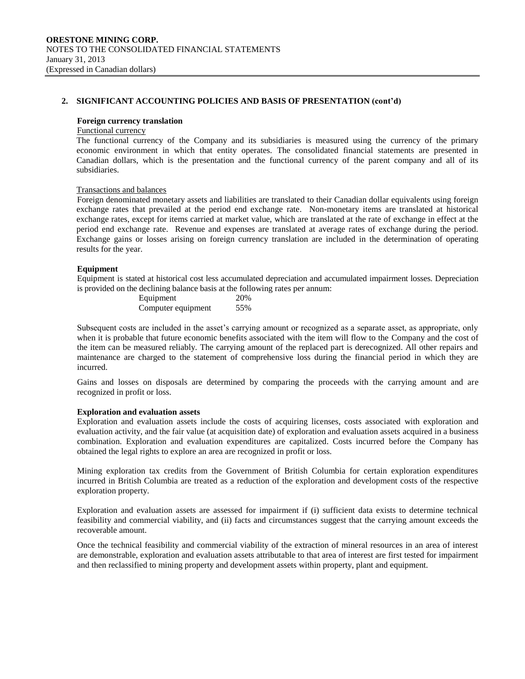#### **Foreign currency translation**

#### Functional currency

The functional currency of the Company and its subsidiaries is measured using the currency of the primary economic environment in which that entity operates. The consolidated financial statements are presented in Canadian dollars, which is the presentation and the functional currency of the parent company and all of its subsidiaries.

## Transactions and balances

Foreign denominated monetary assets and liabilities are translated to their Canadian dollar equivalents using foreign exchange rates that prevailed at the period end exchange rate. Non-monetary items are translated at historical exchange rates, except for items carried at market value, which are translated at the rate of exchange in effect at the period end exchange rate. Revenue and expenses are translated at average rates of exchange during the period. Exchange gains or losses arising on foreign currency translation are included in the determination of operating results for the year.

## **Equipment**

Equipment is stated at historical cost less accumulated depreciation and accumulated impairment losses. Depreciation is provided on the declining balance basis at the following rates per annum:

| Equipment          | 20% |
|--------------------|-----|
| Computer equipment | 55% |

Subsequent costs are included in the asset's carrying amount or recognized as a separate asset, as appropriate, only when it is probable that future economic benefits associated with the item will flow to the Company and the cost of the item can be measured reliably. The carrying amount of the replaced part is derecognized. All other repairs and maintenance are charged to the statement of comprehensive loss during the financial period in which they are incurred.

Gains and losses on disposals are determined by comparing the proceeds with the carrying amount and are recognized in profit or loss.

## **Exploration and evaluation assets**

Exploration and evaluation assets include the costs of acquiring licenses, costs associated with exploration and evaluation activity, and the fair value (at acquisition date) of exploration and evaluation assets acquired in a business combination. Exploration and evaluation expenditures are capitalized. Costs incurred before the Company has obtained the legal rights to explore an area are recognized in profit or loss.

Mining exploration tax credits from the Government of British Columbia for certain exploration expenditures incurred in British Columbia are treated as a reduction of the exploration and development costs of the respective exploration property.

Exploration and evaluation assets are assessed for impairment if (i) sufficient data exists to determine technical feasibility and commercial viability, and (ii) facts and circumstances suggest that the carrying amount exceeds the recoverable amount.

Once the technical feasibility and commercial viability of the extraction of mineral resources in an area of interest are demonstrable, exploration and evaluation assets attributable to that area of interest are first tested for impairment and then reclassified to mining property and development assets within property, plant and equipment.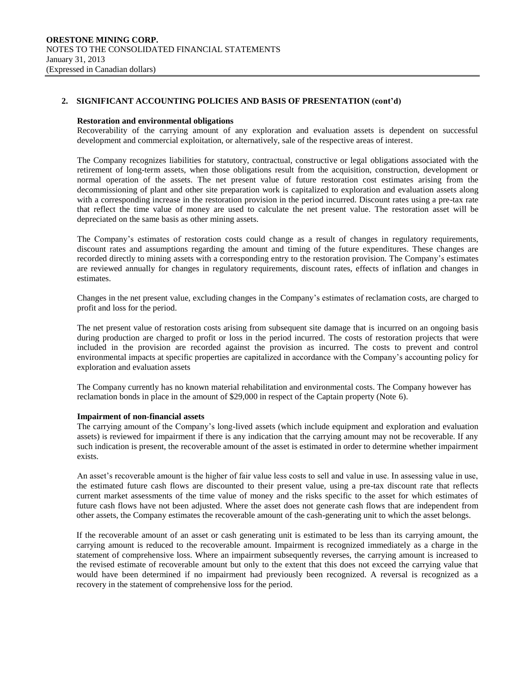#### **Restoration and environmental obligations**

Recoverability of the carrying amount of any exploration and evaluation assets is dependent on successful development and commercial exploitation, or alternatively, sale of the respective areas of interest.

The Company recognizes liabilities for statutory, contractual, constructive or legal obligations associated with the retirement of long-term assets, when those obligations result from the acquisition, construction, development or normal operation of the assets. The net present value of future restoration cost estimates arising from the decommissioning of plant and other site preparation work is capitalized to exploration and evaluation assets along with a corresponding increase in the restoration provision in the period incurred. Discount rates using a pre-tax rate that reflect the time value of money are used to calculate the net present value. The restoration asset will be depreciated on the same basis as other mining assets.

The Company's estimates of restoration costs could change as a result of changes in regulatory requirements, discount rates and assumptions regarding the amount and timing of the future expenditures. These changes are recorded directly to mining assets with a corresponding entry to the restoration provision. The Company's estimates are reviewed annually for changes in regulatory requirements, discount rates, effects of inflation and changes in estimates.

Changes in the net present value, excluding changes in the Company's estimates of reclamation costs, are charged to profit and loss for the period.

The net present value of restoration costs arising from subsequent site damage that is incurred on an ongoing basis during production are charged to profit or loss in the period incurred. The costs of restoration projects that were included in the provision are recorded against the provision as incurred. The costs to prevent and control environmental impacts at specific properties are capitalized in accordance with the Company's accounting policy for exploration and evaluation assets

The Company currently has no known material rehabilitation and environmental costs. The Company however has reclamation bonds in place in the amount of \$29,000 in respect of the Captain property (Note 6).

## **Impairment of non-financial assets**

The carrying amount of the Company's long-lived assets (which include equipment and exploration and evaluation assets) is reviewed for impairment if there is any indication that the carrying amount may not be recoverable. If any such indication is present, the recoverable amount of the asset is estimated in order to determine whether impairment exists.

An asset's recoverable amount is the higher of fair value less costs to sell and value in use. In assessing value in use, the estimated future cash flows are discounted to their present value, using a pre-tax discount rate that reflects current market assessments of the time value of money and the risks specific to the asset for which estimates of future cash flows have not been adjusted. Where the asset does not generate cash flows that are independent from other assets, the Company estimates the recoverable amount of the cash-generating unit to which the asset belongs.

If the recoverable amount of an asset or cash generating unit is estimated to be less than its carrying amount, the carrying amount is reduced to the recoverable amount. Impairment is recognized immediately as a charge in the statement of comprehensive loss. Where an impairment subsequently reverses, the carrying amount is increased to the revised estimate of recoverable amount but only to the extent that this does not exceed the carrying value that would have been determined if no impairment had previously been recognized. A reversal is recognized as a recovery in the statement of comprehensive loss for the period.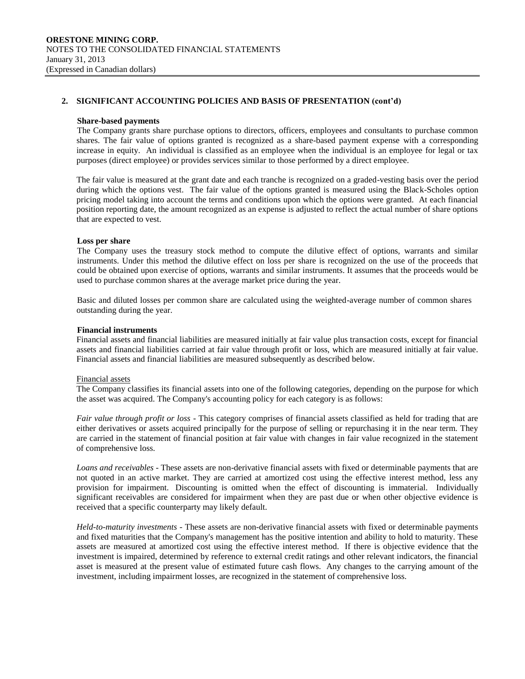#### **Share-based payments**

The Company grants share purchase options to directors, officers, employees and consultants to purchase common shares. The fair value of options granted is recognized as a share-based payment expense with a corresponding increase in equity. An individual is classified as an employee when the individual is an employee for legal or tax purposes (direct employee) or provides services similar to those performed by a direct employee.

The fair value is measured at the grant date and each tranche is recognized on a graded-vesting basis over the period during which the options vest. The fair value of the options granted is measured using the Black-Scholes option pricing model taking into account the terms and conditions upon which the options were granted. At each financial position reporting date, the amount recognized as an expense is adjusted to reflect the actual number of share options that are expected to vest.

## **Loss per share**

The Company uses the treasury stock method to compute the dilutive effect of options, warrants and similar instruments. Under this method the dilutive effect on loss per share is recognized on the use of the proceeds that could be obtained upon exercise of options, warrants and similar instruments. It assumes that the proceeds would be used to purchase common shares at the average market price during the year.

Basic and diluted losses per common share are calculated using the weighted-average number of common shares outstanding during the year.

## **Financial instruments**

Financial assets and financial liabilities are measured initially at fair value plus transaction costs, except for financial assets and financial liabilities carried at fair value through profit or loss, which are measured initially at fair value. Financial assets and financial liabilities are measured subsequently as described below.

## Financial assets

The Company classifies its financial assets into one of the following categories, depending on the purpose for which the asset was acquired. The Company's accounting policy for each category is as follows:

*Fair value through profit or loss* - This category comprises of financial assets classified as held for trading that are either derivatives or assets acquired principally for the purpose of selling or repurchasing it in the near term. They are carried in the statement of financial position at fair value with changes in fair value recognized in the statement of comprehensive loss.

*Loans and receivables* - These assets are non-derivative financial assets with fixed or determinable payments that are not quoted in an active market. They are carried at amortized cost using the effective interest method, less any provision for impairment. Discounting is omitted when the effect of discounting is immaterial. Individually significant receivables are considered for impairment when they are past due or when other objective evidence is received that a specific counterparty may likely default.

*Held-to-maturity investments* - These assets are non-derivative financial assets with fixed or determinable payments and fixed maturities that the Company's management has the positive intention and ability to hold to maturity. These assets are measured at amortized cost using the effective interest method. If there is objective evidence that the investment is impaired, determined by reference to external credit ratings and other relevant indicators, the financial asset is measured at the present value of estimated future cash flows. Any changes to the carrying amount of the investment, including impairment losses, are recognized in the statement of comprehensive loss.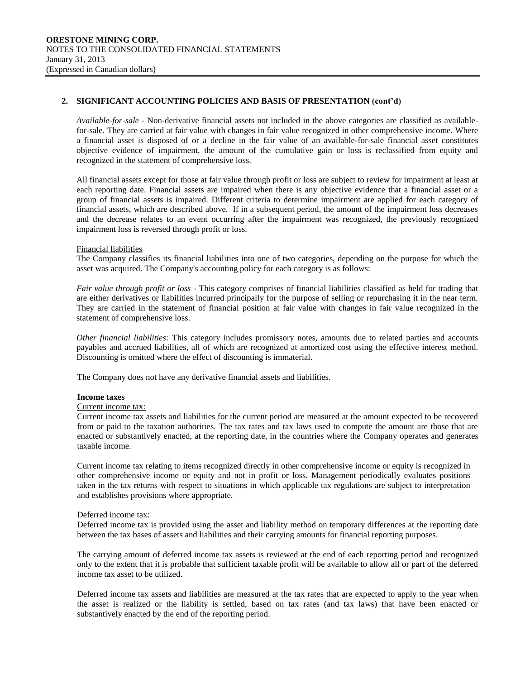*Available-for-sale* - Non-derivative financial assets not included in the above categories are classified as availablefor-sale. They are carried at fair value with changes in fair value recognized in other comprehensive income. Where a financial asset is disposed of or a decline in the fair value of an available-for-sale financial asset constitutes objective evidence of impairment, the amount of the cumulative gain or loss is reclassified from equity and recognized in the statement of comprehensive loss.

All financial assets except for those at fair value through profit or loss are subject to review for impairment at least at each reporting date. Financial assets are impaired when there is any objective evidence that a financial asset or a group of financial assets is impaired. Different criteria to determine impairment are applied for each category of financial assets, which are described above. If in a subsequent period, the amount of the impairment loss decreases and the decrease relates to an event occurring after the impairment was recognized, the previously recognized impairment loss is reversed through profit or loss.

## Financial liabilities

The Company classifies its financial liabilities into one of two categories, depending on the purpose for which the asset was acquired. The Company's accounting policy for each category is as follows:

*Fair value through profit or loss* - This category comprises of financial liabilities classified as held for trading that are either derivatives or liabilities incurred principally for the purpose of selling or repurchasing it in the near term. They are carried in the statement of financial position at fair value with changes in fair value recognized in the statement of comprehensive loss.

*Other financial liabilities*: This category includes promissory notes, amounts due to related parties and accounts payables and accrued liabilities, all of which are recognized at amortized cost using the effective interest method. Discounting is omitted where the effect of discounting is immaterial.

The Company does not have any derivative financial assets and liabilities.

## **Income taxes**

#### Current income tax:

Current income tax assets and liabilities for the current period are measured at the amount expected to be recovered from or paid to the taxation authorities. The tax rates and tax laws used to compute the amount are those that are enacted or substantively enacted, at the reporting date, in the countries where the Company operates and generates taxable income.

Current income tax relating to items recognized directly in other comprehensive income or equity is recognized in other comprehensive income or equity and not in profit or loss. Management periodically evaluates positions taken in the tax returns with respect to situations in which applicable tax regulations are subject to interpretation and establishes provisions where appropriate.

#### Deferred income tax:

Deferred income tax is provided using the asset and liability method on temporary differences at the reporting date between the tax bases of assets and liabilities and their carrying amounts for financial reporting purposes.

The carrying amount of deferred income tax assets is reviewed at the end of each reporting period and recognized only to the extent that it is probable that sufficient taxable profit will be available to allow all or part of the deferred income tax asset to be utilized.

Deferred income tax assets and liabilities are measured at the tax rates that are expected to apply to the year when the asset is realized or the liability is settled, based on tax rates (and tax laws) that have been enacted or substantively enacted by the end of the reporting period.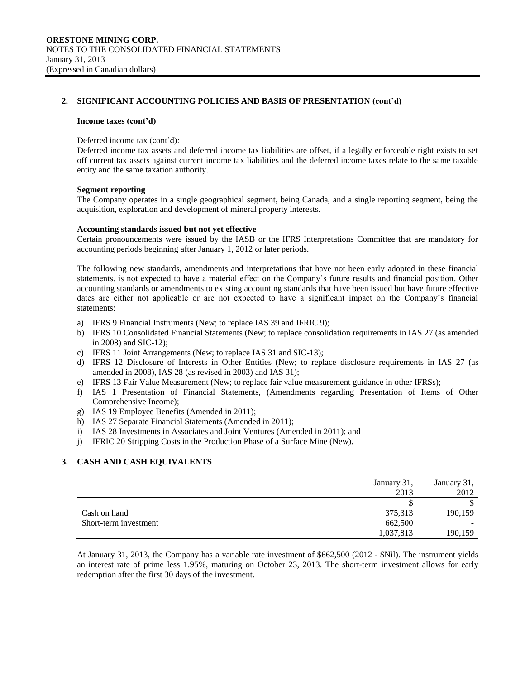## **Income taxes (cont'd)**

#### Deferred income tax (cont'd):

Deferred income tax assets and deferred income tax liabilities are offset, if a legally enforceable right exists to set off current tax assets against current income tax liabilities and the deferred income taxes relate to the same taxable entity and the same taxation authority.

#### **Segment reporting**

The Company operates in a single geographical segment, being Canada, and a single reporting segment, being the acquisition, exploration and development of mineral property interests.

#### **Accounting standards issued but not yet effective**

Certain pronouncements were issued by the IASB or the IFRS Interpretations Committee that are mandatory for accounting periods beginning after January 1, 2012 or later periods.

The following new standards, amendments and interpretations that have not been early adopted in these financial statements, is not expected to have a material effect on the Company's future results and financial position. Other accounting standards or amendments to existing accounting standards that have been issued but have future effective dates are either not applicable or are not expected to have a significant impact on the Company's financial statements:

- a) IFRS 9 Financial Instruments (New; to replace IAS 39 and IFRIC 9);
- b) IFRS 10 Consolidated Financial Statements (New; to replace consolidation requirements in IAS 27 (as amended in 2008) and SIC-12);
- c) IFRS 11 Joint Arrangements (New; to replace IAS 31 and SIC-13);
- d) IFRS 12 Disclosure of Interests in Other Entities (New; to replace disclosure requirements in IAS 27 (as amended in 2008), IAS 28 (as revised in 2003) and IAS 31);
- e) IFRS 13 Fair Value Measurement (New; to replace fair value measurement guidance in other IFRSs);
- f) IAS 1 Presentation of Financial Statements, (Amendments regarding Presentation of Items of Other Comprehensive Income);
- g) IAS 19 Employee Benefits (Amended in 2011);
- h) IAS 27 Separate Financial Statements (Amended in 2011);
- i) IAS 28 Investments in Associates and Joint Ventures (Amended in 2011); and
- j) IFRIC 20 Stripping Costs in the Production Phase of a Surface Mine (New).

## **3. CASH AND CASH EQUIVALENTS**

|                       | January 31, | January 31,              |
|-----------------------|-------------|--------------------------|
|                       | 2013        | 2012                     |
|                       | ٠D          |                          |
| Cash on hand          | 375,313     | 190,159                  |
| Short-term investment | 662,500     | $\overline{\phantom{a}}$ |
|                       | 1,037,813   | 190,159                  |

At January 31, 2013, the Company has a variable rate investment of \$662,500 (2012 - \$Nil). The instrument yields an interest rate of prime less 1.95%, maturing on October 23, 2013. The short-term investment allows for early redemption after the first 30 days of the investment.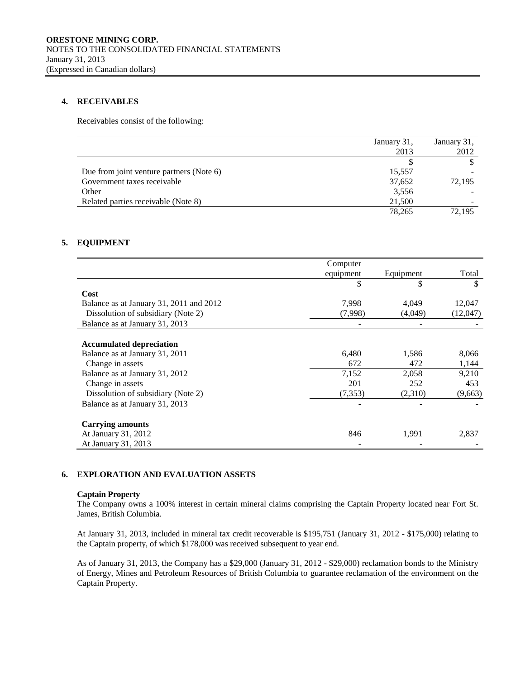## **4. RECEIVABLES**

Receivables consist of the following:

|                                          | January 31, | January 31, |
|------------------------------------------|-------------|-------------|
|                                          | 2013        | 2012        |
|                                          |             |             |
| Due from joint venture partners (Note 6) | 15,557      |             |
| Government taxes receivable              | 37,652      | 72,195      |
| Other                                    | 3,556       |             |
| Related parties receivable (Note 8)      | 21,500      |             |
|                                          | 78,265      | 72.195      |

## **5. EQUIPMENT**

|                                         | Computer  |           |          |
|-----------------------------------------|-----------|-----------|----------|
|                                         | equipment | Equipment | Total    |
|                                         | \$        |           | \$       |
| Cost                                    |           |           |          |
| Balance as at January 31, 2011 and 2012 | 7,998     | 4,049     | 12,047   |
| Dissolution of subsidiary (Note 2)      | (7,998)   | (4,049)   | (12,047) |
| Balance as at January 31, 2013          |           |           |          |
| <b>Accumulated depreciation</b>         |           |           |          |
| Balance as at January 31, 2011          | 6,480     | 1,586     | 8,066    |
| Change in assets                        | 672       | 472       | 1,144    |
| Balance as at January 31, 2012          | 7,152     | 2,058     | 9,210    |
| Change in assets                        | 201       | 252       | 453      |
| Dissolution of subsidiary (Note 2)      | (7, 353)  | (2,310)   | (9,663)  |
| Balance as at January 31, 2013          |           |           |          |
| <b>Carrying amounts</b>                 |           |           |          |
| At January 31, 2012                     | 846       | 1,991     | 2,837    |
| At January 31, 2013                     |           |           |          |

## **6. EXPLORATION AND EVALUATION ASSETS**

#### **Captain Property**

The Company owns a 100% interest in certain mineral claims comprising the Captain Property located near Fort St. James, British Columbia.

At January 31, 2013, included in mineral tax credit recoverable is \$195,751 (January 31, 2012 - \$175,000) relating to the Captain property, of which \$178,000 was received subsequent to year end.

As of January 31, 2013, the Company has a \$29,000 (January 31, 2012 - \$29,000) reclamation bonds to the Ministry of Energy, Mines and Petroleum Resources of British Columbia to guarantee reclamation of the environment on the Captain Property.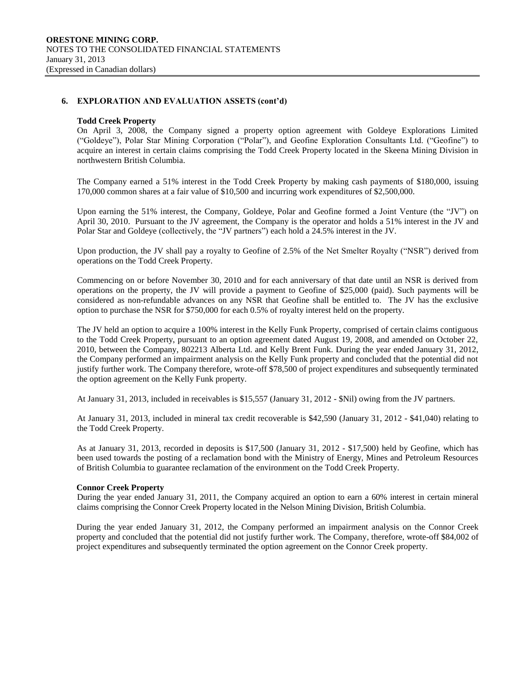## **6. EXPLORATION AND EVALUATION ASSETS (cont'd)**

## **Todd Creek Property**

On April 3, 2008, the Company signed a property option agreement with Goldeye Explorations Limited ("Goldeye"), Polar Star Mining Corporation ("Polar"), and Geofine Exploration Consultants Ltd. ("Geofine") to acquire an interest in certain claims comprising the Todd Creek Property located in the Skeena Mining Division in northwestern British Columbia.

The Company earned a 51% interest in the Todd Creek Property by making cash payments of \$180,000, issuing 170,000 common shares at a fair value of \$10,500 and incurring work expenditures of \$2,500,000.

Upon earning the 51% interest, the Company, Goldeye, Polar and Geofine formed a Joint Venture (the "JV") on April 30, 2010. Pursuant to the JV agreement, the Company is the operator and holds a 51% interest in the JV and Polar Star and Goldeye (collectively, the "JV partners") each hold a 24.5% interest in the JV.

Upon production, the JV shall pay a royalty to Geofine of 2.5% of the Net Smelter Royalty ("NSR") derived from operations on the Todd Creek Property.

Commencing on or before November 30, 2010 and for each anniversary of that date until an NSR is derived from operations on the property, the JV will provide a payment to Geofine of \$25,000 (paid). Such payments will be considered as non-refundable advances on any NSR that Geofine shall be entitled to. The JV has the exclusive option to purchase the NSR for \$750,000 for each 0.5% of royalty interest held on the property.

The JV held an option to acquire a 100% interest in the Kelly Funk Property, comprised of certain claims contiguous to the Todd Creek Property, pursuant to an option agreement dated August 19, 2008, and amended on October 22, 2010, between the Company, 802213 Alberta Ltd. and Kelly Brent Funk. During the year ended January 31, 2012, the Company performed an impairment analysis on the Kelly Funk property and concluded that the potential did not justify further work. The Company therefore, wrote-off \$78,500 of project expenditures and subsequently terminated the option agreement on the Kelly Funk property.

At January 31, 2013, included in receivables is \$15,557 (January 31, 2012 - \$Nil) owing from the JV partners.

At January 31, 2013, included in mineral tax credit recoverable is \$42,590 (January 31, 2012 - \$41,040) relating to the Todd Creek Property.

As at January 31, 2013, recorded in deposits is \$17,500 (January 31, 2012 - \$17,500) held by Geofine, which has been used towards the posting of a reclamation bond with the Ministry of Energy, Mines and Petroleum Resources of British Columbia to guarantee reclamation of the environment on the Todd Creek Property.

## **Connor Creek Property**

During the year ended January 31, 2011, the Company acquired an option to earn a 60% interest in certain mineral claims comprising the Connor Creek Property located in the Nelson Mining Division, British Columbia.

During the year ended January 31, 2012, the Company performed an impairment analysis on the Connor Creek property and concluded that the potential did not justify further work. The Company, therefore, wrote-off \$84,002 of project expenditures and subsequently terminated the option agreement on the Connor Creek property.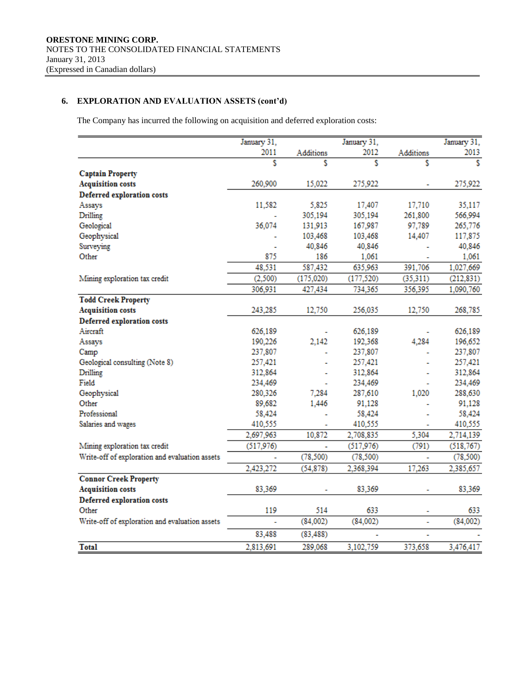## **6. EXPLORATION AND EVALUATION ASSETS (cont'd)**

The Company has incurred the following on acquisition and deferred exploration costs:

|                                                | January 31, |           | January 31, |           | January 31, |
|------------------------------------------------|-------------|-----------|-------------|-----------|-------------|
|                                                | 2011        | Additions | 2012        | Additions | 2013        |
|                                                | Ŝ           |           | s           | s         | s           |
| <b>Captain Property</b>                        |             |           |             |           |             |
| <b>Acquisition costs</b>                       | 260,900     | 15,022    | 275,922     |           | 275,922     |
| <b>Deferred exploration costs</b>              |             |           |             |           |             |
| Assays                                         | 11,582      | 5,825     | 17,407      | 17,710    | 35,117      |
| Drilling                                       |             | 305,194   | 305,194     | 261,800   | 566,994     |
| Geological                                     | 36,074      | 131,913   | 167,987     | 97,789    | 265,776     |
| Geophysical                                    |             | 103,468   | 103,468     | 14,407    | 117,875     |
| Surveying                                      |             | 40,846    | 40,846      |           | 40,846      |
| Other                                          | 875         | 186       | 1,061       |           | 1,061       |
|                                                | 48,531      | 587,432   | 635,963     | 391,706   | 1,027,669   |
| Mining exploration tax credit                  | (2,500)     | (175,020) | (177, 520)  | (35, 311) | (212, 831)  |
|                                                | 306,931     | 427,434   | 734,365     | 356,395   | 1,090,760   |
| <b>Todd Creek Property</b>                     |             |           |             |           |             |
| <b>Acquisition costs</b>                       | 243,285     | 12,750    | 256,035     | 12,750    | 268,785     |
| <b>Deferred exploration costs</b>              |             |           |             |           |             |
| Aircraft                                       | 626,189     |           | 626,189     |           | 626,189     |
| Assays                                         | 190,226     | 2,142     | 192,368     | 4,284     | 196,652     |
| Camp                                           | 237,807     |           | 237,807     |           | 237,807     |
| Geological consulting (Note 8)                 | 257,421     |           | 257,421     |           | 257,421     |
| Drilling                                       | 312,864     |           | 312,864     |           | 312,864     |
| Field                                          | 234,469     |           | 234,469     |           | 234,469     |
| Geophysical                                    | 280,326     | 7,284     | 287,610     | 1,020     | 288,630     |
| Other                                          | 89,682      | 1,446     | 91,128      |           | 91,128      |
| Professional                                   | 58,424      |           | 58,424      |           | 58,424      |
| Salaries and wages                             | 410,555     |           | 410,555     |           | 410,555     |
|                                                | 2,697,963   | 10,872    | 2,708,835   | 5,304     | 2,714,139   |
| Mining exploration tax credit                  | (517, 976)  |           | (517, 976)  | (791)     | (518, 767)  |
| Write-off of exploration and evaluation assets |             | (78, 500) | (78, 500)   |           | (78, 500)   |
|                                                | 2,423,272   | (54, 878) | 2,368,394   | 17,263    | 2,385,657   |
| <b>Connor Creek Property</b>                   |             |           |             |           |             |
| <b>Acquisition costs</b>                       | 83,369      |           | 83,369      |           | 83,369      |
| <b>Deferred exploration costs</b>              |             |           |             |           |             |
| Other                                          | 119         | 514       | 633         |           | 633         |
| Write-off of exploration and evaluation assets |             | (84,002)  | (84,002)    | ä,        | (84,002)    |
|                                                | 83,488      | (83, 488) |             |           |             |
| <b>Total</b>                                   | 2,813,691   | 289,068   | 3,102,759   | 373,658   | 3,476,417   |
|                                                |             |           |             |           |             |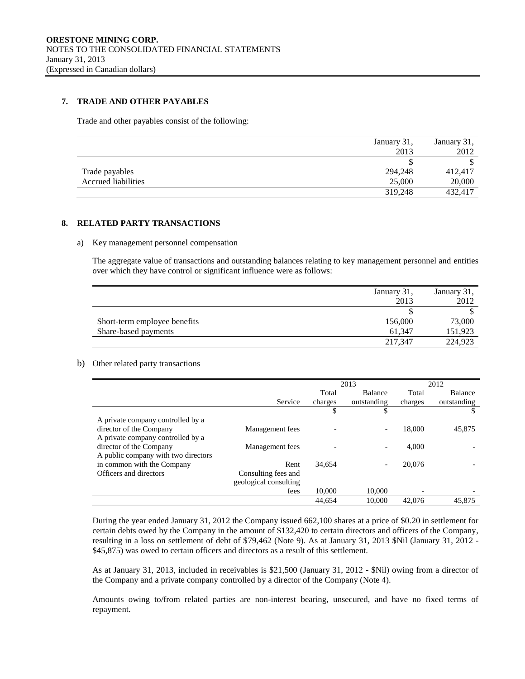## **7. TRADE AND OTHER PAYABLES**

Trade and other payables consist of the following:

|                     | January 31, | January 31, |
|---------------------|-------------|-------------|
|                     | 2013        | 2012        |
|                     |             |             |
| Trade payables      | 294,248     | 412,417     |
| Accrued liabilities | 25,000      | 20,000      |
|                     | 319,248     | 432,417     |

## **8. RELATED PARTY TRANSACTIONS**

## a) Key management personnel compensation

The aggregate value of transactions and outstanding balances relating to key management personnel and entities over which they have control or significant influence were as follows:

|                              | January 31,<br>2013 | January 31,<br>2012 |
|------------------------------|---------------------|---------------------|
|                              |                     |                     |
| Short-term employee benefits | 156,000             | 73,000              |
| Share-based payments         | 61.347              | 151,923             |
|                              | 217.347             | 224,923             |

## b) Other related party transactions

|                                                                                                   |                                                      |         | 2013                     |         | 2012           |
|---------------------------------------------------------------------------------------------------|------------------------------------------------------|---------|--------------------------|---------|----------------|
|                                                                                                   |                                                      | Total   | <b>Balance</b>           | Total   | <b>Balance</b> |
|                                                                                                   | Service                                              | charges | outstanding              | charges | outstanding    |
|                                                                                                   |                                                      | \$      | \$                       |         | S              |
| A private company controlled by a<br>director of the Company<br>A private company controlled by a | Management fees                                      |         | $\overline{\phantom{a}}$ | 18,000  | 45,875         |
| director of the Company<br>A public company with two directors                                    | Management fees                                      |         |                          | 4.000   |                |
| in common with the Company<br>Officers and directors                                              | Rent<br>Consulting fees and<br>geological consulting | 34.654  |                          | 20,076  |                |
|                                                                                                   | fees                                                 | 10.000  | 10,000                   |         |                |
|                                                                                                   |                                                      | 44.654  | 10.000                   | 42,076  | 45,875         |

During the year ended January 31, 2012 the Company issued 662,100 shares at a price of \$0.20 in settlement for certain debts owed by the Company in the amount of \$132,420 to certain directors and officers of the Company, resulting in a loss on settlement of debt of \$79,462 (Note 9). As at January 31, 2013 \$Nil (January 31, 2012 - \$45,875) was owed to certain officers and directors as a result of this settlement.

As at January 31, 2013, included in receivables is \$21,500 (January 31, 2012 - \$Nil) owing from a director of the Company and a private company controlled by a director of the Company (Note 4).

Amounts owing to/from related parties are non-interest bearing, unsecured, and have no fixed terms of repayment.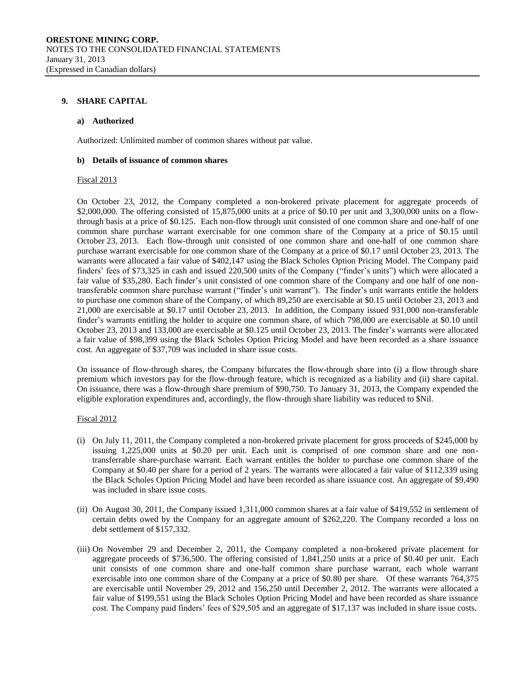## **9. SHARE CAPITAL**

#### **a) Authorized**

Authorized: Unlimited number of common shares without par value.

#### **b) Details of issuance of common shares**

## Fiscal 2013

On October 23, 2012, the Company completed a non-brokered private placement for aggregate proceeds of \$2,000,000. The offering consisted of 15,875,000 units at a price of \$0.10 per unit and 3,300,000 units on a flowthrough basis at a price of \$0.125. Each non-flow through unit consisted of one common share and one-half of one common share purchase warrant exercisable for one common share of the Company at a price of \$0.15 until October 23, 2013. Each flow-through unit consisted of one common share and one-half of one common share purchase warrant exercisable for one common share of the Company at a price of \$0.17 until October 23, 2013. The warrants were allocated a fair value of \$402,147 using the Black Scholes Option Pricing Model. The Company paid finders' fees of \$73,325 in cash and issued 220,500 units of the Company ("finder's units") which were allocated a fair value of \$35,280. Each finder's unit consisted of one common share of the Company and one half of one nontransferable common share purchase warrant ("finder's unit warrant"). The finder's unit warrants entitle the holders to purchase one common share of the Company, of which 89,250 are exercisable at \$0.15 until October 23, 2013 and 21,000 are exercisable at \$0.17 until October 23, 2013. In addition, the Company issued 931,000 non-transferable finder's warrants entitling the holder to acquire one common share, of which 798,000 are exercisable at \$0.10 until October 23, 2013 and 133,000 are exercisable at \$0.125 until October 23, 2013. The finder's warrants were allocated a fair value of \$98,399 using the Black Scholes Option Pricing Model and have been recorded as a share issuance cost. An aggregate of \$37,709 was included in share issue costs.

On issuance of flow-through shares, the Company bifurcates the flow-through share into (i) a flow through share premium which investors pay for the flow-through feature, which is recognized as a liability and (ii) share capital. On issuance, there was a flow-through share premium of \$90,750. To January 31, 2013, the Company expended the eligible exploration expenditures and, accordingly, the flow-through share liability was reduced to \$Nil.

## Fiscal 2012

- (i) On July 11, 2011, the Company completed a non-brokered private placement for gross proceeds of \$245,000 by issuing 1,225,000 units at \$0.20 per unit. Each unit is comprised of one common share and one nontransferrable share-purchase warrant. Each warrant entitles the holder to purchase one common share of the Company at \$0.40 per share for a period of 2 years. The warrants were allocated a fair value of \$112,339 using the Black Scholes Option Pricing Model and have been recorded as share issuance cost. An aggregate of \$9,490 was included in share issue costs.
- (ii) On August 30, 2011, the Company issued 1,311,000 common shares at a fair value of \$419,552 in settlement of certain debts owed by the Company for an aggregate amount of \$262,220. The Company recorded a loss on debt settlement of \$157,332.
- (iii) On November 29 and December 2, 2011, the Company completed a non-brokered private placement for aggregate proceeds of \$736,500. The offering consisted of 1,841,250 units at a price of \$0.40 per unit. Each unit consists of one common share and one-half common share purchase warrant, each whole warrant exercisable into one common share of the Company at a price of \$0.80 per share. Of these warrants 764,375 are exercisable until November 29, 2012 and 156,250 until December 2, 2012. The warrants were allocated a fair value of \$199,551 using the Black Scholes Option Pricing Model and have been recorded as share issuance cost. The Company paid finders' fees of \$29,505 and an aggregate of \$17,137 was included in share issue costs.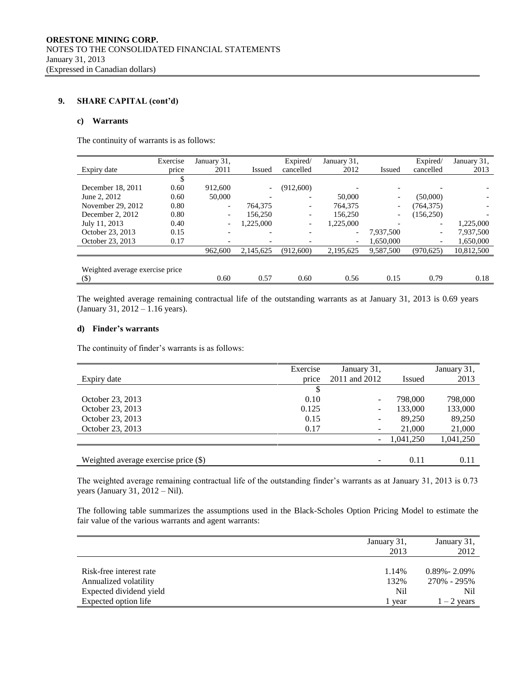## **9. SHARE CAPITAL (cont'd)**

#### **c) Warrants**

The continuity of warrants is as follows:

|                                 | Exercise | January 31,              |                          | Expired/                 | January 31,              |                          | Expired/                 | January 31, |
|---------------------------------|----------|--------------------------|--------------------------|--------------------------|--------------------------|--------------------------|--------------------------|-------------|
| Expiry date                     | price    | 2011                     | Issued                   | cancelled                | 2012                     | Issued                   | cancelled                | 2013        |
|                                 | \$       |                          |                          |                          |                          |                          |                          |             |
| December 18, 2011               | 0.60     | 912,600                  | $\overline{\phantom{0}}$ | (912,600)                |                          |                          |                          |             |
| June 2, 2012                    | 0.60     | 50,000                   |                          |                          | 50,000                   |                          | (50,000)                 |             |
| November 29, 2012               | 0.80     | $\overline{\phantom{a}}$ | 764.375                  | $\overline{\phantom{0}}$ | 764,375                  | $\overline{\phantom{a}}$ | (764.375)                |             |
| December 2, 2012                | 0.80     | $\overline{\phantom{0}}$ | 156,250                  |                          | 156.250                  | $\overline{\phantom{a}}$ | (156, 250)               |             |
| July 11, 2013                   | 0.40     | $\overline{\phantom{a}}$ | .225.000                 |                          | 1.225.000                |                          | $\overline{\phantom{0}}$ | 1.225,000   |
| October 23, 2013                | 0.15     | $\overline{\phantom{0}}$ | $\overline{\phantom{0}}$ |                          | $\overline{\phantom{a}}$ | 7,937,500                | $\overline{\phantom{0}}$ | 7,937,500   |
| October 23, 2013                | 0.17     |                          | -                        |                          | $\overline{\phantom{a}}$ | 1,650,000                | $\overline{\phantom{0}}$ | 1,650,000   |
|                                 |          | 962,600                  | 2,145,625                | (912,600)                | 2,195,625                | 9,587,500                | (970, 625)               | 10,812,500  |
|                                 |          |                          |                          |                          |                          |                          |                          |             |
| Weighted average exercise price |          |                          |                          |                          |                          |                          |                          |             |
| (\$)                            |          | 0.60                     | 0.57                     | 0.60                     | 0.56                     | 0.15                     | 0.79                     | 0.18        |

The weighted average remaining contractual life of the outstanding warrants as at January 31, 2013 is 0.69 years (January 31, 2012 – 1.16 years).

## **d) Finder's warrants**

The continuity of finder's warrants is as follows:

|                                        | Exercise | January 31,   |           | January 31, |
|----------------------------------------|----------|---------------|-----------|-------------|
| Expiry date                            | price    | 2011 and 2012 | Issued    | 2013        |
|                                        | \$       |               |           |             |
| October 23, 2013                       | 0.10     |               | 798,000   | 798,000     |
| October 23, 2013                       | 0.125    |               | 133,000   | 133,000     |
| October 23, 2013                       | 0.15     |               | 89,250    | 89,250      |
| October 23, 2013                       | 0.17     | -             | 21,000    | 21,000      |
|                                        |          |               | 1.041.250 | 1,041,250   |
|                                        |          |               |           |             |
| Weighted average exercise price $(\$)$ |          |               | 0.11      | 0.11        |

The weighted average remaining contractual life of the outstanding finder's warrants as at January 31, 2013 is 0.73 years (January 31, 2012 – Nil).

The following table summarizes the assumptions used in the Black-Scholes Option Pricing Model to estimate the fair value of the various warrants and agent warrants:

|                         | January 31,<br>2013 | January 31,<br>2012 |
|-------------------------|---------------------|---------------------|
|                         |                     |                     |
| Risk-free interest rate | 1.14%               | $0.89\% - 2.09\%$   |
| Annualized volatility   | 132%                | 270% - 295%         |
| Expected dividend yield | Nil                 | Nil                 |
| Expected option life    | vear                | $-2$ years          |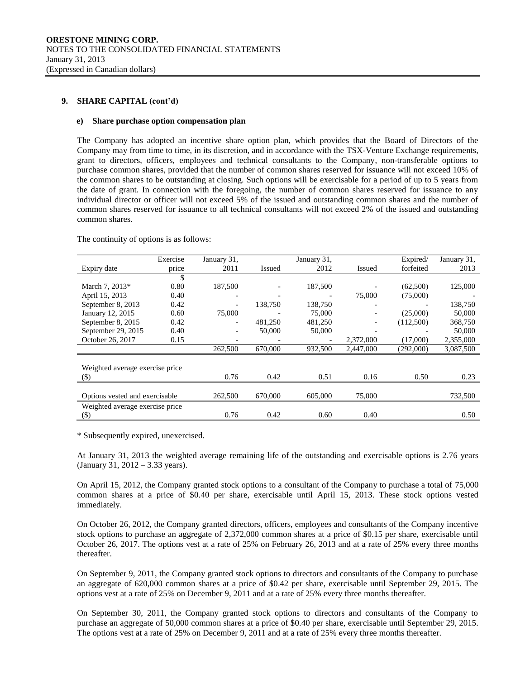## **9. SHARE CAPITAL (cont'd)**

#### **e) Share purchase option compensation plan**

The Company has adopted an incentive share option plan, which provides that the Board of Directors of the Company may from time to time, in its discretion, and in accordance with the TSX-Venture Exchange requirements, grant to directors, officers, employees and technical consultants to the Company, non-transferable options to purchase common shares, provided that the number of common shares reserved for issuance will not exceed 10% of the common shares to be outstanding at closing. Such options will be exercisable for a period of up to 5 years from the date of grant. In connection with the foregoing, the number of common shares reserved for issuance to any individual director or officer will not exceed 5% of the issued and outstanding common shares and the number of common shares reserved for issuance to all technical consultants will not exceed 2% of the issued and outstanding common shares.

|                                 | Exercise | January 31,              |               | January 31, |                          | Expired/  | January 31, |
|---------------------------------|----------|--------------------------|---------------|-------------|--------------------------|-----------|-------------|
| Expiry date                     | price    | 2011                     | <b>Issued</b> | 2012        | <b>Issued</b>            | forfeited | 2013        |
|                                 | \$       |                          |               |             |                          |           |             |
| March 7, 2013*                  | 0.80     | 187,500                  |               | 187,500     |                          | (62,500)  | 125,000     |
| April 15, 2013                  | 0.40     |                          |               |             | 75,000                   | (75,000)  |             |
| September 8, 2013               | 0.42     | $\overline{\phantom{a}}$ | 138,750       | 138,750     | $\overline{\phantom{a}}$ |           | 138,750     |
| January 12, 2015                | 0.60     | 75,000                   |               | 75,000      | $\overline{\phantom{a}}$ | (25,000)  | 50,000      |
| September 8, 2015               | 0.42     |                          | 481,250       | 481,250     | $\overline{\phantom{0}}$ | (112,500) | 368,750     |
| September 29, 2015              | 0.40     |                          | 50,000        | 50,000      |                          |           | 50,000      |
| October 26, 2017                | 0.15     |                          |               |             | 2,372,000                | (17,000)  | 2,355,000   |
|                                 |          | 262,500                  | 670,000       | 932,500     | 2,447,000                | (292,000) | 3,087,500   |
|                                 |          |                          |               |             |                          |           |             |
| Weighted average exercise price |          |                          |               |             |                          |           |             |
| $(\$)$                          |          | 0.76                     | 0.42          | 0.51        | 0.16                     | 0.50      | 0.23        |
|                                 |          |                          |               |             |                          |           |             |
| Options vested and exercisable  |          | 262,500                  | 670,000       | 605,000     | 75,000                   |           | 732,500     |
| Weighted average exercise price |          |                          |               |             |                          |           |             |
| $($ \$)                         |          | 0.76                     | 0.42          | 0.60        | 0.40                     |           | 0.50        |

The continuity of options is as follows:

\* Subsequently expired, unexercised.

At January 31, 2013 the weighted average remaining life of the outstanding and exercisable options is 2.76 years (January 31, 2012 – 3.33 years).

On April 15, 2012, the Company granted stock options to a consultant of the Company to purchase a total of 75,000 common shares at a price of \$0.40 per share, exercisable until April 15, 2013. These stock options vested immediately.

On October 26, 2012, the Company granted directors, officers, employees and consultants of the Company incentive stock options to purchase an aggregate of 2,372,000 common shares at a price of \$0.15 per share, exercisable until October 26, 2017. The options vest at a rate of 25% on February 26, 2013 and at a rate of 25% every three months thereafter.

On September 9, 2011, the Company granted stock options to directors and consultants of the Company to purchase an aggregate of 620,000 common shares at a price of \$0.42 per share, exercisable until September 29, 2015. The options vest at a rate of 25% on December 9, 2011 and at a rate of 25% every three months thereafter.

On September 30, 2011, the Company granted stock options to directors and consultants of the Company to purchase an aggregate of 50,000 common shares at a price of \$0.40 per share, exercisable until September 29, 2015. The options vest at a rate of 25% on December 9, 2011 and at a rate of 25% every three months thereafter.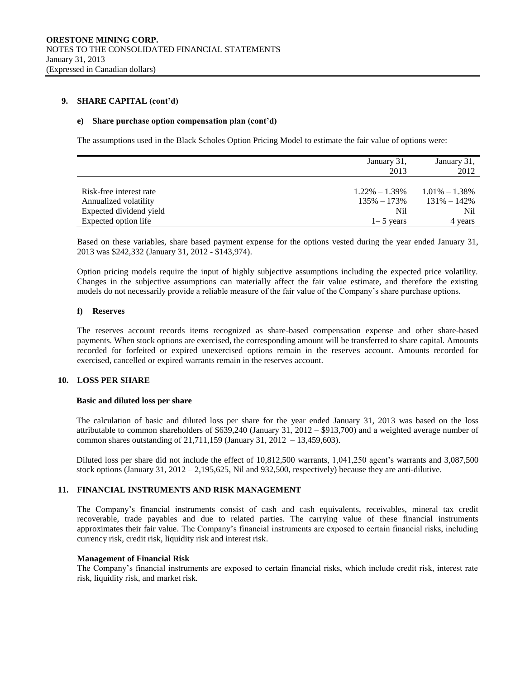## **9. SHARE CAPITAL (cont'd)**

#### **e) Share purchase option compensation plan (cont'd)**

The assumptions used in the Black Scholes Option Pricing Model to estimate the fair value of options were:

|                         | January 31,<br>2013 | January 31,<br>2012 |
|-------------------------|---------------------|---------------------|
| Risk-free interest rate | $1.22\% - 1.39\%$   | $1.01\% - 1.38\%$   |
| Annualized volatility   | $135\% - 173\%$     | $131\% - 142\%$     |
| Expected dividend yield | Nil                 | Ni1                 |
| Expected option life    | $1 - 5$ years       | 4 years             |

Based on these variables, share based payment expense for the options vested during the year ended January 31, 2013 was \$242,332 (January 31, 2012 - \$143,974).

Option pricing models require the input of highly subjective assumptions including the expected price volatility. Changes in the subjective assumptions can materially affect the fair value estimate, and therefore the existing models do not necessarily provide a reliable measure of the fair value of the Company's share purchase options.

## **f) Reserves**

The reserves account records items recognized as share-based compensation expense and other share-based payments. When stock options are exercised, the corresponding amount will be transferred to share capital. Amounts recorded for forfeited or expired unexercised options remain in the reserves account. Amounts recorded for exercised, cancelled or expired warrants remain in the reserves account.

## **10. LOSS PER SHARE**

#### **Basic and diluted loss per share**

The calculation of basic and diluted loss per share for the year ended January 31, 2013 was based on the loss attributable to common shareholders of \$639,240 (January 31, 2012 – \$913,700) and a weighted average number of common shares outstanding of 21,711,159 (January 31, 2012 – 13,459,603).

Diluted loss per share did not include the effect of 10,812,500 warrants, 1,041,250 agent's warrants and 3,087,500 stock options (January 31, 2012 – 2,195,625, Nil and 932,500, respectively) because they are anti-dilutive.

## **11. FINANCIAL INSTRUMENTS AND RISK MANAGEMENT**

The Company's financial instruments consist of cash and cash equivalents, receivables, mineral tax credit recoverable, trade payables and due to related parties. The carrying value of these financial instruments approximates their fair value. The Company's financial instruments are exposed to certain financial risks, including currency risk, credit risk, liquidity risk and interest risk.

## **Management of Financial Risk**

The Company's financial instruments are exposed to certain financial risks, which include credit risk, interest rate risk, liquidity risk, and market risk.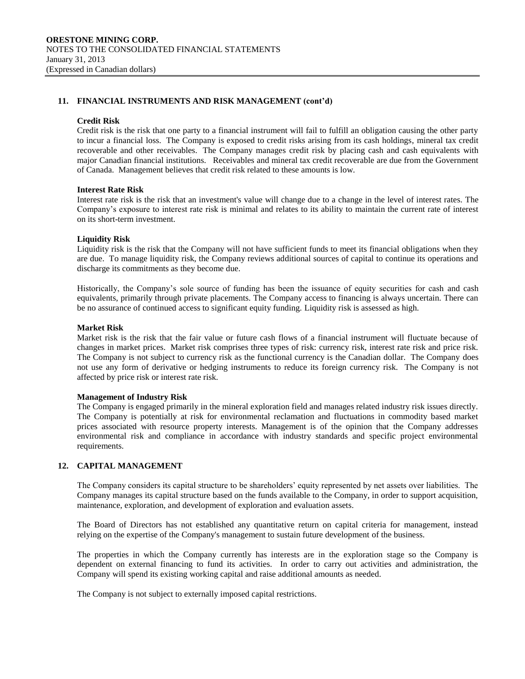## **11. FINANCIAL INSTRUMENTS AND RISK MANAGEMENT (cont'd)**

## **Credit Risk**

Credit risk is the risk that one party to a financial instrument will fail to fulfill an obligation causing the other party to incur a financial loss. The Company is exposed to credit risks arising from its cash holdings, mineral tax credit recoverable and other receivables. The Company manages credit risk by placing cash and cash equivalents with major Canadian financial institutions. Receivables and mineral tax credit recoverable are due from the Government of Canada. Management believes that credit risk related to these amounts is low.

## **Interest Rate Risk**

Interest rate risk is the risk that an investment's value will change due to a change in the level of interest rates. The Company's exposure to interest rate risk is minimal and relates to its ability to maintain the current rate of interest on its short-term investment.

## **Liquidity Risk**

Liquidity risk is the risk that the Company will not have sufficient funds to meet its financial obligations when they are due. To manage liquidity risk, the Company reviews additional sources of capital to continue its operations and discharge its commitments as they become due.

Historically, the Company's sole source of funding has been the issuance of equity securities for cash and cash equivalents, primarily through private placements. The Company access to financing is always uncertain. There can be no assurance of continued access to significant equity funding. Liquidity risk is assessed as high.

## **Market Risk**

Market risk is the risk that the fair value or future cash flows of a financial instrument will fluctuate because of changes in market prices. Market risk comprises three types of risk: currency risk, interest rate risk and price risk. The Company is not subject to currency risk as the functional currency is the Canadian dollar. The Company does not use any form of derivative or hedging instruments to reduce its foreign currency risk. The Company is not affected by price risk or interest rate risk.

## **Management of Industry Risk**

The Company is engaged primarily in the mineral exploration field and manages related industry risk issues directly. The Company is potentially at risk for environmental reclamation and fluctuations in commodity based market prices associated with resource property interests. Management is of the opinion that the Company addresses environmental risk and compliance in accordance with industry standards and specific project environmental requirements.

## **12. CAPITAL MANAGEMENT**

The Company considers its capital structure to be shareholders' equity represented by net assets over liabilities. The Company manages its capital structure based on the funds available to the Company, in order to support acquisition, maintenance, exploration, and development of exploration and evaluation assets.

The Board of Directors has not established any quantitative return on capital criteria for management, instead relying on the expertise of the Company's management to sustain future development of the business.

The properties in which the Company currently has interests are in the exploration stage so the Company is dependent on external financing to fund its activities. In order to carry out activities and administration, the Company will spend its existing working capital and raise additional amounts as needed.

The Company is not subject to externally imposed capital restrictions.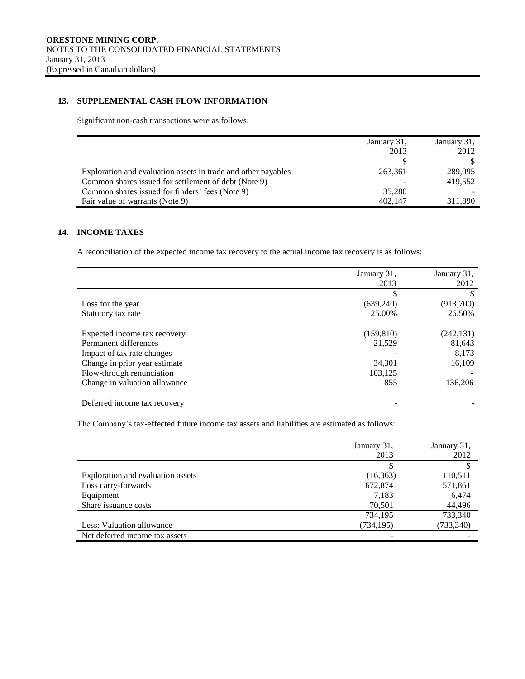## **13. SUPPLEMENTAL CASH FLOW INFORMATION**

Significant non-cash transactions were as follows:

|                                                               | January 31, | January 31, |
|---------------------------------------------------------------|-------------|-------------|
|                                                               | 2013        | 2012        |
|                                                               |             |             |
| Exploration and evaluation assets in trade and other payables | 263,361     | 289,095     |
| Common shares issued for settlement of debt (Note 9)          |             | 419,552     |
| Common shares issued for finders' fees (Note 9)               | 35,280      |             |
| Fair value of warrants (Note 9)                               | 402,147     | 311,890     |

## **14. INCOME TAXES**

A reconciliation of the expected income tax recovery to the actual income tax recovery is as follows:

|                               | January 31, | January 31, |
|-------------------------------|-------------|-------------|
|                               | 2013        | 2012        |
|                               |             |             |
| Loss for the year             | (639,240)   | (913,700)   |
| Statutory tax rate            | 25.00%      | 26.50%      |
| Expected income tax recovery  | (159, 810)  | (242, 131)  |
| Permanent differences         | 21,529      | 81,643      |
| Impact of tax rate changes    |             | 8,173       |
| Change in prior year estimate | 34,301      | 16,109      |
| Flow-through renunciation     | 103,125     |             |
| Change in valuation allowance | 855         | 136,206     |

Deferred income tax recovery example of the state of the state of the state of the state of the state of the state of the state of the state of the state of the state of the state of the state of the state of the state of

The Company's tax-effected future income tax assets and liabilities are estimated as follows:

|                                   | January 31, | January 31, |
|-----------------------------------|-------------|-------------|
|                                   | 2013        | 2012        |
|                                   |             |             |
| Exploration and evaluation assets | (16,363)    | 110,511     |
| Loss carry-forwards               | 672,874     | 571,861     |
| Equipment                         | 7,183       | 6,474       |
| Share issuance costs              | 70,501      | 44,496      |
|                                   | 734,195     | 733,340     |
| Less: Valuation allowance         | (734, 195)  | (733, 340)  |
| Net deferred income tax assets    |             |             |